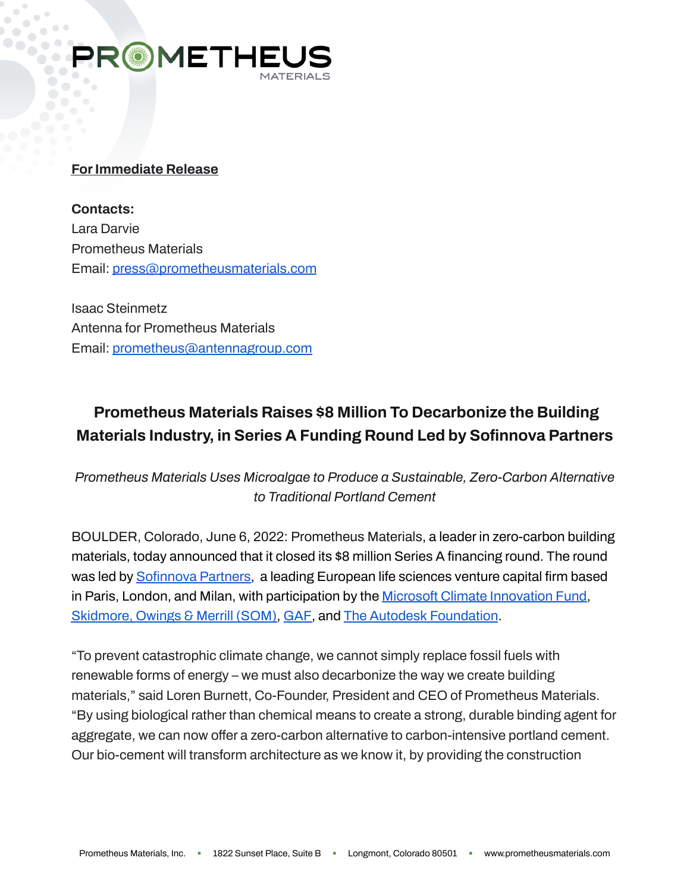

### **ForImmediate Release**

**Contacts:** Lara Darvie Prometheus Materials Email: [press@prometheusmaterials.com](mailto:press@prometheusmaterials.com)

Isaac Steinmetz Antenna for Prometheus Materials Email: [prometheus@antennagroup.com](mailto:prometheus@antennagroup.com)

# **Prometheus Materials Raises \$8 Million To Decarbonize the Building Materials Industry, in Series A Funding Round Led by Sofinnova Partners**

# *Prometheus Materials Uses Microalgae to Produce a Sustainable, Zero-Carbon Alternative to Traditional Portland Cement*

BOULDER, Colorado, June 6, 2022: Prometheus Materials, a leader in zero-carbon building materials, today announced that it closed its \$8 million Series A financing round. The round was led by [Sofinnova](https://sofinnovapartners.com/) Partners, a leading European life sciences venture capital firm based in Paris, London, and Milan, with participation by the Microsoft Climate [Innovation](https://www.microsoft.com/en-us/corporate-responsibility/sustainability/climate-innovation-fund?activetab=pivot1:primaryr6) Fund, [Skidmore,](https://www.som.com/) Owings & Merrill (SOM), [GAF,](https://www.gaf.com/en-us) and The Autodesk [Foundation](https://www.autodesk.org/).

"To prevent catastrophic climate change, we cannot simply replace fossil fuels with renewable forms of energy – we must also decarbonize the way we create building materials," said Loren Burnett, Co-Founder, President and CEO of Prometheus Materials. "By using biological rather than chemical means to create a strong, durable binding agent for aggregate, we can now offer a zero-carbon alternative to carbon-intensive portland cement. Our bio-cement will transform architecture as we know it, by providing the construction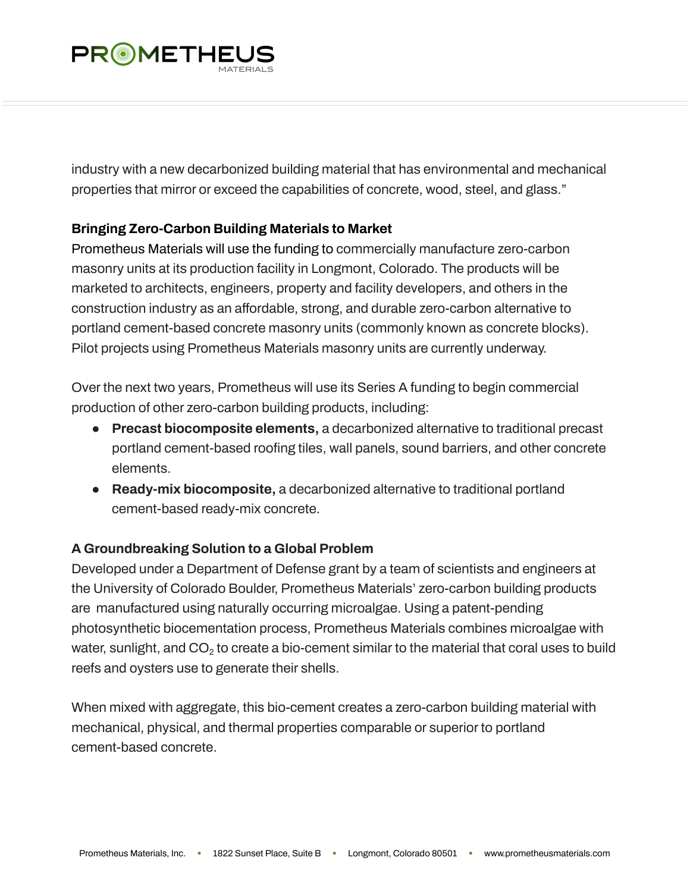

industry with a new decarbonized building material that has environmental and mechanical properties that mirror or exceed the capabilities of concrete, wood, steel, and glass."

## **Bringing Zero-Carbon Building Materials to Market**

Prometheus Materials will use the funding to commercially manufacture zero-carbon masonry units at its production facility in Longmont, Colorado. The products will be marketed to architects, engineers, property and facility developers, and others in the construction industry as an affordable, strong, and durable zero-carbon alternative to portland cement-based concrete masonry units (commonly known as concrete blocks). Pilot projects using Prometheus Materials masonry units are currently underway.

Over the next two years, Prometheus will use its Series A funding to begin commercial production of other zero-carbon building products, including:

- **Precast biocomposite elements,** a decarbonized alternative to traditional precast portland cement-based roofing tiles, wall panels, sound barriers, and other concrete elements.
- **Ready-mix biocomposite,** a decarbonized alternative to traditional portland cement-based ready-mix concrete.

#### **A Groundbreaking Solution to a Global Problem**

Developed under a Department of Defense grant by a team of scientists and engineers at the University of Colorado Boulder, Prometheus Materials' zero-carbon building products are manufactured using naturally occurring microalgae. Using a patent-pending photosynthetic biocementation process, Prometheus Materials combines microalgae with water, sunlight, and  $CO<sub>2</sub>$  to create a bio-cement similar to the material that coral uses to build reefs and oysters use to generate their shells.

When mixed with aggregate, this bio-cement creates a zero-carbon building material with mechanical, physical, and thermal properties comparable or superior to portland cement-based concrete.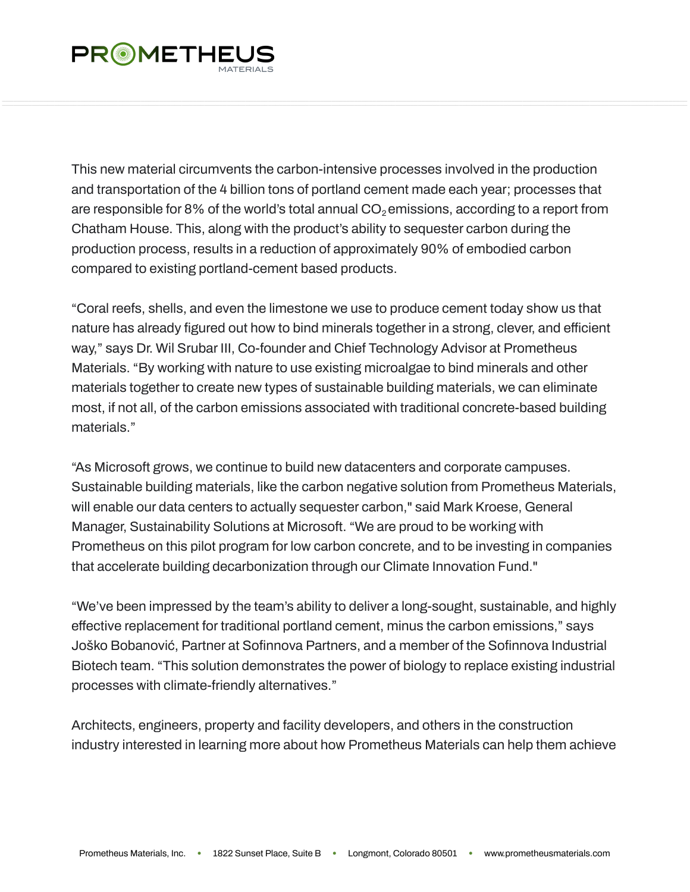

This new material circumvents the carbon-intensive processes involved in the production and transportation of the 4 billion tons of portland cement made each year; processes that are responsible for 8% of the world's total annual  $CO<sub>2</sub>$  emissions, according to a report from Chatham House. This, along with the product's ability to sequester carbon during the production process, results in a reduction of approximately 90% of embodied carbon compared to existing portland-cement based products.

"Coral reefs, shells, and even the limestone we use to produce cement today show us that nature has already figured out how to bind minerals together in a strong, clever, and efficient way," says Dr. Wil Srubar III, Co-founder and Chief Technology Advisor at Prometheus Materials. "By working with nature to use existing microalgae to bind minerals and other materials together to create new types of sustainable building materials, we can eliminate most, if not all, of the carbon emissions associated with traditional concrete-based building materials."

"As Microsoft grows, we continue to build new datacenters and corporate campuses. Sustainable building materials, like the carbon negative solution from Prometheus Materials, will enable our data centers to actually sequester carbon," said Mark Kroese, General Manager, Sustainability Solutions at Microsoft. "We are proud to be working with Prometheus on this pilot program for low carbon concrete, and to be investing in companies that accelerate building decarbonization through our Climate Innovation Fund."

"We've been impressed by the team's ability to deliver a long-sought, sustainable, and highly effective replacement for traditional portland cement, minus the carbon emissions," says Joško Bobanović, Partner at Sofinnova Partners, and a member of the Sofinnova Industrial Biotech team. "This solution demonstrates the power of biology to replace existing industrial processes with climate-friendly alternatives."

Architects, engineers, property and facility developers, and others in the construction industry interested in learning more about how Prometheus Materials can help them achieve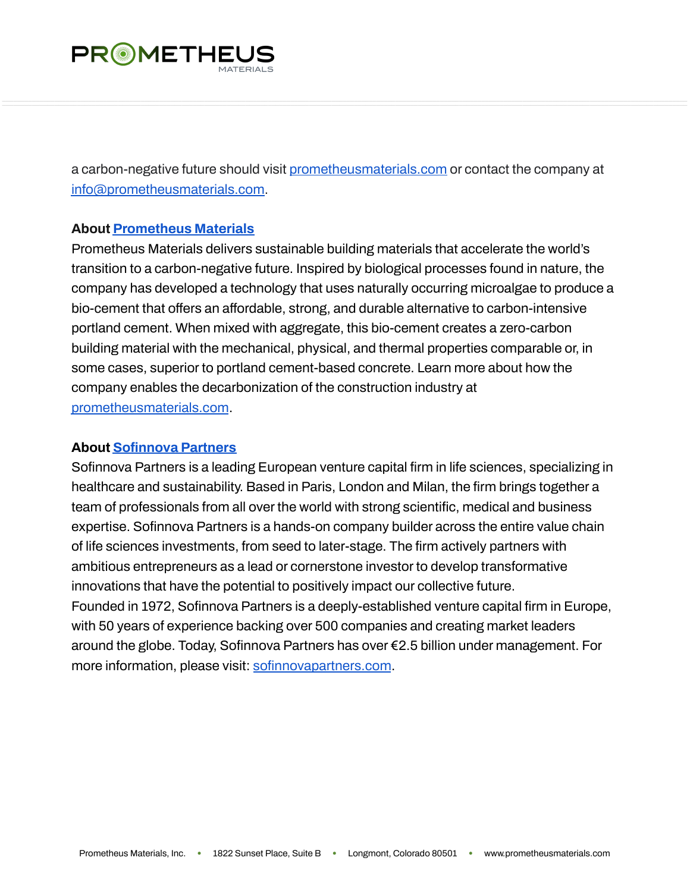

a carbon-negative future should visit [prometheusmaterials.com](https://prometheusmaterials.com/) or contact the company at [info@prometheusmaterials.com.](mailto:info@prometheusmaterials.com)

#### **About [Prometheus](https://prometheusmaterials.com/) Materials**

Prometheus Materials delivers sustainable building materials that accelerate the world's transition to a carbon-negative future. Inspired by biological processes found in nature, the company has developed a technology that uses naturally occurring microalgae to produce a bio-cement that offers an affordable, strong, and durable alternative to carbon-intensive portland cement. When mixed with aggregate, this bio-cement creates a zero-carbon building material with the mechanical, physical, and thermal properties comparable or, in some cases, superior to portland cement-based concrete. Learn more about how the company enables the decarbonization of the construction industry at [prometheusmaterials.com](https://prometheusmaterials.com/).

#### **About [Sofinnova](https://sofinnovapartners.com/) Partners**

Sofinnova Partners is a leading European venture capital firm in life sciences, specializing in healthcare and sustainability. Based in Paris, London and Milan, the firm brings together a team of professionals from all over the world with strong scientific, medical and business expertise. Sofinnova Partners is a hands-on company builder across the entire value chain of life sciences investments, from seed to later-stage. The firm actively partners with ambitious entrepreneurs as a lead or cornerstone investor to develop transformative innovations that have the potential to positively impact our collective future. Founded in 1972, Sofinnova Partners is a deeply-established venture capital firm in Europe, with 50 years of experience backing over 500 companies and creating market leaders around the globe. Today, Sofinnova Partners has over €2.5 billion under management. For more information, please visit: [sofinnovapartners.com](https://sofinnovapartners.com/).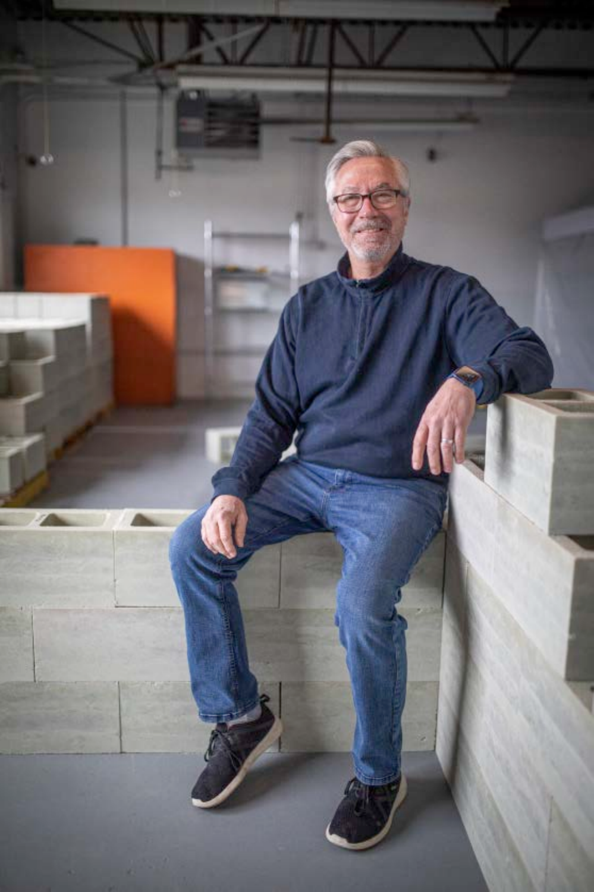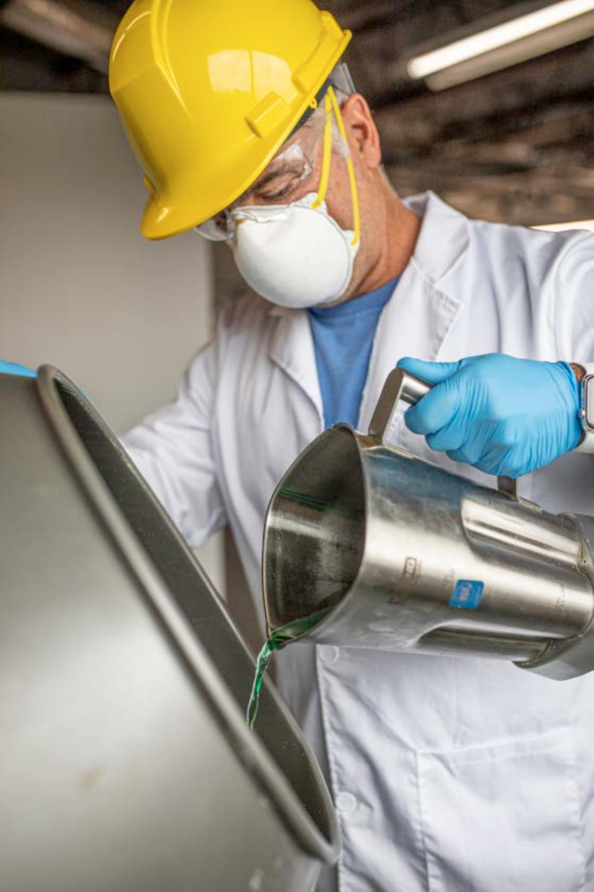